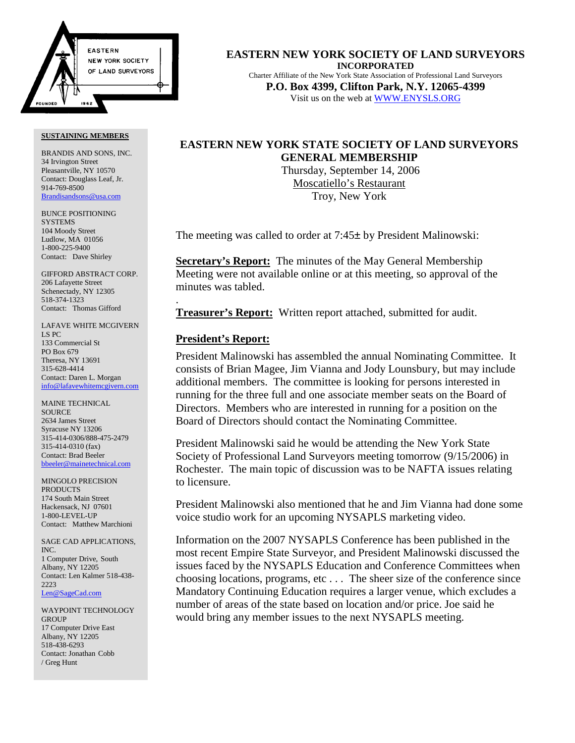

BRANDIS AND SONS, INC. 34 Irvington Street Pleasantville, NY 10570 Contact: Douglass Leaf, Jr. 914-769-8500 Brandisandsons@usa.com

BUNCE POSITIONING **SYSTEMS** 104 Moody Street Ludlow, MA 01056 1-800-225-9400 Contact: Dave Shirley

GIFFORD ABSTRACT CORP. 206 Lafayette Street Schenectady, NY 12305 518-374-1323 Contact: Thomas Gifford

LAFAVE WHITE MCGIVERN LS PC 133 Commercial St PO Box 679 Theresa, NY 13691 315-628-4414 Contact: Daren L. Morgan info@lafavewhitemcgivern.com

MAINE TECHNICAL **SOURCE** 2634 James Street Syracuse NY 13206 315-414-0306/888-475-2479 315-414-0310 (fax) Contact: Brad Beeler bbeeler@mainetechnical.com

MINGOLO PRECISION PRODUCTS 174 South Main Street Hackensack, NJ 07601 1-800-LEVEL-UP Contact: Matthew Marchioni

SAGE CAD APPLICATIONS, INC. 1 Computer Drive, South Albany, NY 12205 Contact: Len Kalmer 518-438- 2223 Len@SageCad.com

WAYPOINT TECHNOLOGY **GROUP** 17 Computer Drive East Albany, NY 12205 518-438-6293 Contact: Jonathan Cobb / Greg Hunt

**EASTERN NEW YORK SOCIETY OF LAND SURVEYORS INCORPORATED** Charter Affiliate of the New York State Association of Professional Land Surveyors **P.O. Box 4399, Clifton Park, N.Y. 12065-4399** Visit us on the web at WWW.ENYSLS.ORG

# **EASTERN NEW YORK STATE SOCIETY OF LAND SURVEYORS GENERAL MEMBERSHIP**

 Thursday, September 14, 2006 Moscatiello's Restaurant Troy, New York

The meeting was called to order at 7:45± by President Malinowski:

**Secretary's Report:** The minutes of the May General Membership Meeting were not available online or at this meeting, so approval of the minutes was tabled.

**Treasurer's Report:** Written report attached, submitted for audit.

## **President's Report:**

.

President Malinowski has assembled the annual Nominating Committee. It consists of Brian Magee, Jim Vianna and Jody Lounsbury, but may include additional members. The committee is looking for persons interested in running for the three full and one associate member seats on the Board of Directors. Members who are interested in running for a position on the Board of Directors should contact the Nominating Committee.

President Malinowski said he would be attending the New York State Society of Professional Land Surveyors meeting tomorrow (9/15/2006) in Rochester. The main topic of discussion was to be NAFTA issues relating to licensure.

President Malinowski also mentioned that he and Jim Vianna had done some voice studio work for an upcoming NYSAPLS marketing video.

Information on the 2007 NYSAPLS Conference has been published in the most recent Empire State Surveyor, and President Malinowski discussed the issues faced by the NYSAPLS Education and Conference Committees when choosing locations, programs, etc . . . The sheer size of the conference since Mandatory Continuing Education requires a larger venue, which excludes a number of areas of the state based on location and/or price. Joe said he would bring any member issues to the next NYSAPLS meeting.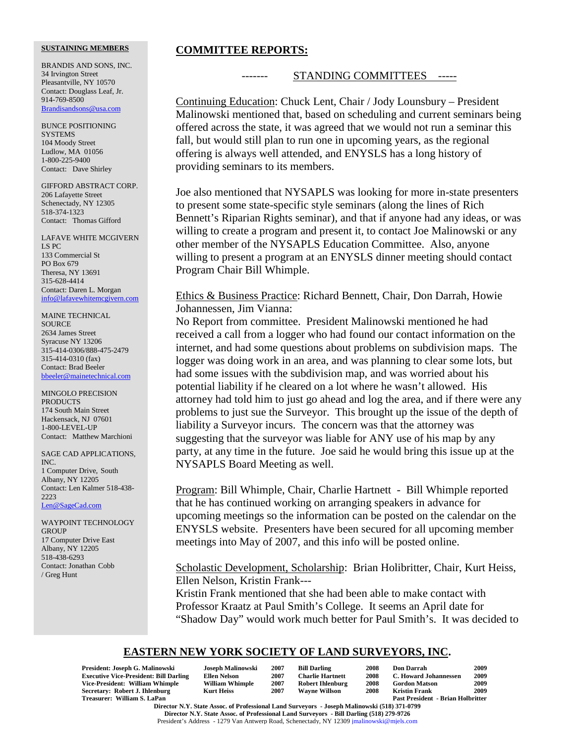BRANDIS AND SONS, INC. 34 Irvington Street Pleasantville, NY 10570 Contact: Douglass Leaf, Jr. 914-769-8500 Brandisandsons@usa.com

BUNCE POSITIONING **SYSTEMS** 104 Moody Street Ludlow, MA 01056 1-800-225-9400 Contact: Dave Shirley

GIFFORD ABSTRACT CORP. 206 Lafayette Street Schenectady, NY 12305 518-374-1323 Contact: Thomas Gifford

LAFAVE WHITE MCGIVERN LS PC 133 Commercial St PO Box 679 Theresa, NY 13691 315-628-4414 Contact: Daren L. Morgan info@lafavewhitemcgivern.com

MAINE TECHNICAL SOURCE 2634 James Street Syracuse NY 13206 315-414-0306/888-475-2479 315-414-0310 (fax) Contact: Brad Beeler bbeeler@mainetechnical.com

MINGOLO PRECISION PRODUCTS 174 South Main Street Hackensack, NJ 07601 1-800-LEVEL-UP Contact: Matthew Marchioni

SAGE CAD APPLICATIONS, INC. 1 Computer Drive, South Albany, NY 12205 Contact: Len Kalmer 518-438- 2223 Len@SageCad.com

WAYPOINT TECHNOLOGY GROUP 17 Computer Drive East Albany, NY 12205 518-438-6293 Contact: Jonathan Cobb / Greg Hunt

## **COMMITTEE REPORTS:**

### STANDING COMMITTEES -----

Continuing Education: Chuck Lent, Chair / Jody Lounsbury – President Malinowski mentioned that, based on scheduling and current seminars being offered across the state, it was agreed that we would not run a seminar this fall, but would still plan to run one in upcoming years, as the regional offering is always well attended, and ENYSLS has a long history of providing seminars to its members.

Joe also mentioned that NYSAPLS was looking for more in-state presenters to present some state-specific style seminars (along the lines of Rich Bennett's Riparian Rights seminar), and that if anyone had any ideas, or was willing to create a program and present it, to contact Joe Malinowski or any other member of the NYSAPLS Education Committee. Also, anyone willing to present a program at an ENYSLS dinner meeting should contact Program Chair Bill Whimple.

Ethics & Business Practice: Richard Bennett, Chair, Don Darrah, Howie Johannessen, Jim Vianna:

No Report from committee. President Malinowski mentioned he had received a call from a logger who had found our contact information on the internet, and had some questions about problems on subdivision maps. The logger was doing work in an area, and was planning to clear some lots, but had some issues with the subdivision map, and was worried about his potential liability if he cleared on a lot where he wasn't allowed. His attorney had told him to just go ahead and log the area, and if there were any problems to just sue the Surveyor. This brought up the issue of the depth of liability a Surveyor incurs. The concern was that the attorney was suggesting that the surveyor was liable for ANY use of his map by any party, at any time in the future. Joe said he would bring this issue up at the NYSAPLS Board Meeting as well.

Program: Bill Whimple, Chair, Charlie Hartnett - Bill Whimple reported that he has continued working on arranging speakers in advance for upcoming meetings so the information can be posted on the calendar on the ENYSLS website. Presenters have been secured for all upcoming member meetings into May of 2007, and this info will be posted online.

Scholastic Development, Scholarship: Brian Holibritter, Chair, Kurt Heiss, Ellen Nelson, Kristin Frank---

Kristin Frank mentioned that she had been able to make contact with Professor Kraatz at Paul Smith's College. It seems an April date for "Shadow Day" would work much better for Paul Smith's. It was decided to

# **EASTERN NEW YORK SOCIETY OF LAND SURVEYORS, INC.**

| President: Joseph G. Malinowski               | Joseph Malinowski      | 2007 | <b>Bill Darling</b>     | 2008 | Don Darrah                               | 2009 |
|-----------------------------------------------|------------------------|------|-------------------------|------|------------------------------------------|------|
| <b>Executive Vice-President: Bill Darling</b> | <b>Ellen Nelson</b>    | 2007 | <b>Charlie Hartnett</b> | 2008 | C. Howard Johannessen                    | 2009 |
| Vice-President: William Whimple               | <b>William Whimple</b> | 2007 | <b>Robert Ihlenburg</b> | 2008 | <b>Gordon Matson</b>                     | 2009 |
| Secretary: Robert J. Ihlenburg                | <b>Kurt Heiss</b>      | 2007 | <b>Wavne Willson</b>    | 2008 | Kristin Frank                            | 2009 |
| Treasurer: William S. LaPan                   |                        |      |                         |      | <b>Past President - Brian Holbritter</b> |      |
|                                               |                        |      |                         |      |                                          |      |

**Director N.Y. State Assoc. of Professional Land Surveyors - Joseph Malinowski (518) 371-0799 Director N.Y. State Assoc. of Professional Land Surveyors - Bill Darling (518) 279-9726** President's Address - 1279 Van Antwerp Road, Schenectady, NY 12309 jmalinowski@mjels.com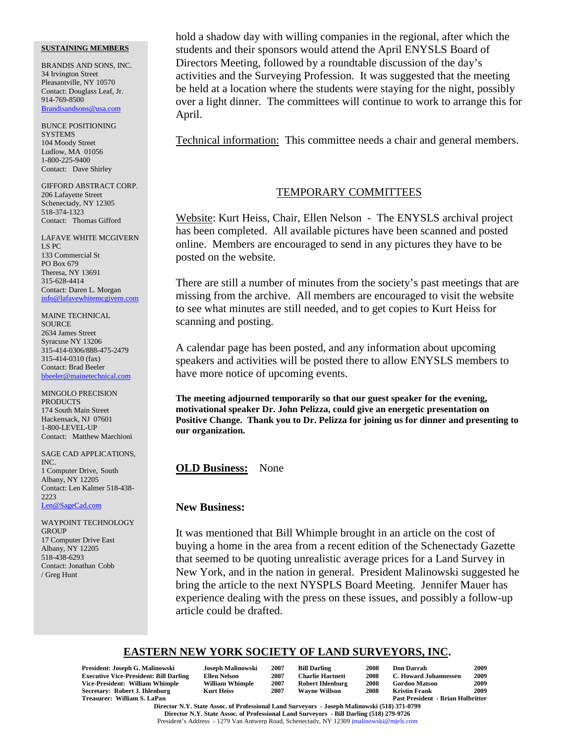BRANDIS AND SONS, INC. 34 Irvington Street Pleasantville, NY 10570 Contact: Douglass Leaf, Jr. 914-769-8500 Brandisandsons@usa.com

BUNCE POSITIONING **SYSTEMS** 104 Moody Street Ludlow, MA 01056 1-800-225-9400 Contact: Dave Shirley

GIFFORD ABSTRACT CORP. 206 Lafayette Street Schenectady, NY 12305 518-374-1323 Contact: Thomas Gifford

LAFAVE WHITE MCGIVERN LS PC 133 Commercial St PO Box 679 Theresa, NY 13691 315-628-4414 Contact: Daren L. Morgan info@lafavewhitemcgivern.com

MAINE TECHNICAL SOURCE 2634 James Street Syracuse NY 13206 315-414-0306/888-475-2479 315-414-0310 (fax) Contact: Brad Beeler bbeeler@mainetechnical.com

MINGOLO PRECISION **PRODUCTS** 174 South Main Street Hackensack, NJ 07601 1-800-LEVEL-UP Contact: Matthew Marchioni

SAGE CAD APPLICATIONS, INC. 1 Computer Drive, South Albany, NY 12205 Contact: Len Kalmer 518-438- 2223 Len@SageCad.com

WAYPOINT TECHNOLOGY **GROUP** 17 Computer Drive East Albany, NY 12205 518-438-6293 Contact: Jonathan Cobb / Greg Hunt

hold a shadow day with willing companies in the regional, after which the students and their sponsors would attend the April ENYSLS Board of Directors Meeting, followed by a roundtable discussion of the day's activities and the Surveying Profession. It was suggested that the meeting be held at a location where the students were staying for the night, possibly over a light dinner. The committees will continue to work to arrange this for April.

Technical information: This committee needs a chair and general members.

## TEMPORARY COMMITTEES

Website: Kurt Heiss, Chair, Ellen Nelson - The ENYSLS archival project has been completed. All available pictures have been scanned and posted online. Members are encouraged to send in any pictures they have to be posted on the website.

There are still a number of minutes from the society's past meetings that are missing from the archive. All members are encouraged to visit the website to see what minutes are still needed, and to get copies to Kurt Heiss for scanning and posting.

A calendar page has been posted, and any information about upcoming speakers and activities will be posted there to allow ENYSLS members to have more notice of upcoming events.

**The meeting adjourned temporarily so that our guest speaker for the evening, motivational speaker Dr. John Pelizza, could give an energetic presentation on Positive Change. Thank you to Dr. Pelizza for joining us for dinner and presenting to our organization.**

**OLD Business:** None

### **New Business:**

It was mentioned that Bill Whimple brought in an article on the cost of buying a home in the area from a recent edition of the Schenectady Gazette that seemed to be quoting unrealistic average prices for a Land Survey in New York, and in the nation in general. President Malinowski suggested he bring the article to the next NYSPLS Board Meeting. Jennifer Mauer has experience dealing with the press on these issues, and possibly a follow-up article could be drafted.

# **EASTERN NEW YORK SOCIETY OF LAND SURVEYORS, INC.**

| President: Joseph G. Malinowski               | Joseph Malinowski      | 2007 | <b>Bill Darling</b>     | 2008 | <b>Don Darrah</b>                        | 2009 |
|-----------------------------------------------|------------------------|------|-------------------------|------|------------------------------------------|------|
| <b>Executive Vice-President: Bill Darling</b> | Ellen Nelson           | 2007 | <b>Charlie Hartnett</b> | 2008 | C. Howard Johannessen                    | 2009 |
| Vice-President: William Whimple               | <b>William Whimple</b> | 2007 | <b>Robert Ihlenburg</b> | 2008 | <b>Gordon Matson</b>                     | 2009 |
| Secretary: Robert J. Ihlenburg                | <b>Kurt Heiss</b>      | 2007 | <b>Wavne Willson</b>    | 2008 | <b>Kristin Frank</b>                     | 2009 |
| Treasurer: William S. LaPan                   |                        |      |                         |      | <b>Past President - Brian Holbritter</b> |      |

**Director N.Y. State Assoc. of Professional Land Surveyors - Joseph Malinowski (518) 371-0799 Director N.Y. State Assoc. of Professional Land Surveyors - Bill Darling (518) 279-9726** President's Address - 1279 Van Antwerp Road, Schenectady, NY 12309 jmalinowski@mjels.com